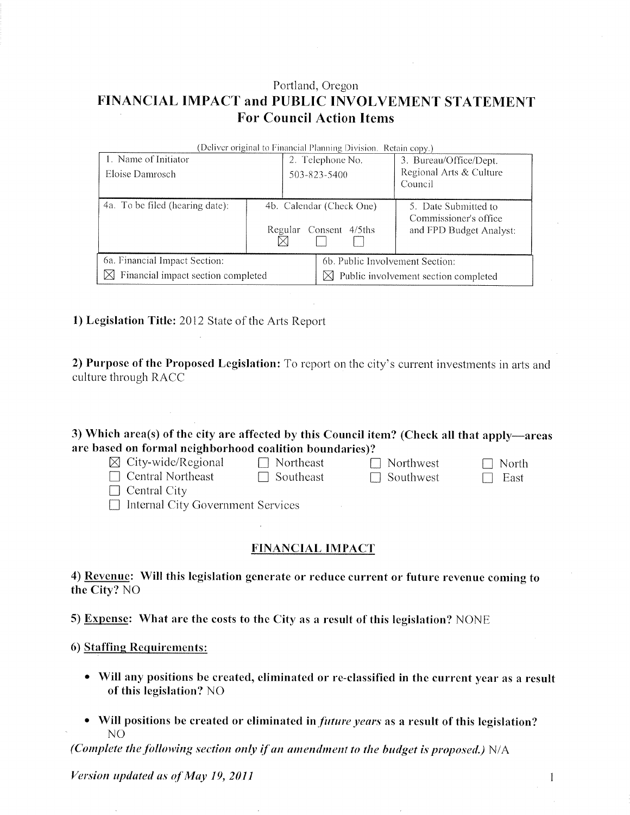# Portland, Oregon FINANCIAL IMPACT and PUBLIC INVOLVEMENT STATEMENT **For Council Action Items**

| (Deliver original to Financial Planning Division. Retain copy.) |                                                       |                                 |                                                                          |  |  |  |  |  |
|-----------------------------------------------------------------|-------------------------------------------------------|---------------------------------|--------------------------------------------------------------------------|--|--|--|--|--|
| 1. Name of Initiator                                            |                                                       | 2. Telephone No.                | 3. Bureau/Office/Dept.                                                   |  |  |  |  |  |
| Eloise Damrosch                                                 |                                                       | 503-823-5400                    | Regional Arts & Culture                                                  |  |  |  |  |  |
|                                                                 |                                                       |                                 | Council                                                                  |  |  |  |  |  |
| 4a. To be filed (hearing date):                                 | 4b. Calendar (Check One)<br>Regular<br>Consent 4/5ths |                                 | 5. Date Submitted to<br>Commissioner's office<br>and FPD Budget Analyst: |  |  |  |  |  |
| 6a. Financial Impact Section:                                   |                                                       | 6b. Public Involvement Section: |                                                                          |  |  |  |  |  |
| Financial impact section completed<br>M                         |                                                       |                                 | $\boxtimes$ Public involvement section completed                         |  |  |  |  |  |

## 1) Legislation Title: 2012 State of the Arts Report

2) Purpose of the Proposed Legislation: To report on the city's current investments in arts and culture through RACC

| 3) Which area(s) of the city are affected by this Council item? (Check all that apply—areas |  |
|---------------------------------------------------------------------------------------------|--|
| are based on formal neighborhood coalition boundaries)?                                     |  |

| $\boxtimes$ City-wide/Regional           | $\Box$ Northeast | $\Box$ Northwest | $\Box$ North |
|------------------------------------------|------------------|------------------|--------------|
| $\Box$ Central Northeast                 | $\Box$ Southeast | $\Box$ Southwest | $\Box$ East  |
| $\Box$ Central City                      |                  |                  |              |
| $\Box$ Internal City Government Services |                  |                  |              |

# **FINANCIAL IMPACT**

4) Revenue: Will this legislation generate or reduce current or future revenue coming to the City? NO

5) Expense: What are the costs to the City as a result of this legislation? NONE

## 6) Staffing Requirements:

• Will any positions be created, eliminated or re-classified in the current year as a result of this legislation? NO

1

• Will positions be created or eliminated in *future years* as a result of this legislation?  $NO$ 

(Complete the following section only if an amendment to the budget is proposed.)  $N/A$ 

Version updated as of May 19, 2011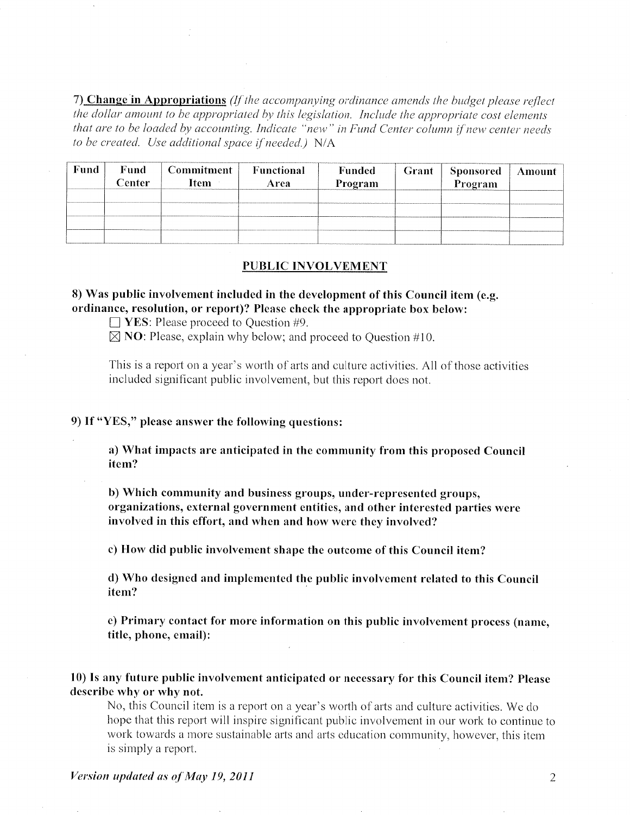7) Change in Appropriations (If the accompanying ordinance amends the budget please reflect the dollar amount to be appropriated by this legislation. Include the appropriate cost elements that are to be loaded by accounting. Indicate "new" in Fund Center column if new center needs to be created. Use additional space if needed.) N/A

| Fund | Fund<br>$\cap$ enter: | <b>Commitment</b><br>Item | Functional<br>Area | <b>Funded</b><br>Program | Grant | <b>Sponsored</b><br>Program | Amount |
|------|-----------------------|---------------------------|--------------------|--------------------------|-------|-----------------------------|--------|
|      |                       |                           |                    |                          |       |                             |        |
|      |                       |                           |                    |                          |       |                             |        |
|      |                       |                           |                    |                          |       |                             |        |

### **PUBLIC INVOLVEMENT**

# 8) Was public involvement included in the development of this Council item (e.g. ordinance, resolution, or report)? Please check the appropriate box below:

 $\Box$  YES: Please proceed to Question #9.

 $\boxtimes$  NO: Please, explain why below; and proceed to Question #10.

This is a report on a year's worth of arts and culture activities. All of those activities included significant public involvement, but this report does not.

### 9) If "YES," please answer the following questions:

a) What impacts are anticipated in the community from this proposed Council item?

b) Which community and business groups, under-represented groups, organizations, external government entities, and other interested parties were involved in this effort, and when and how were they involved?

c) How did public involvement shape the outcome of this Council item?

d) Who designed and implemented the public involvement related to this Council item?

e) Primary contact for more information on this public involvement process (name, title, phone, email):

10) Is any future public involvement anticipated or necessary for this Council item? Please describe why or why not.

No, this Council item is a report on a year's worth of arts and culture activities. We do hope that this report will inspire significant public involvement in our work to continue to work towards a more sustainable arts and arts education community, however, this item is simply a report.